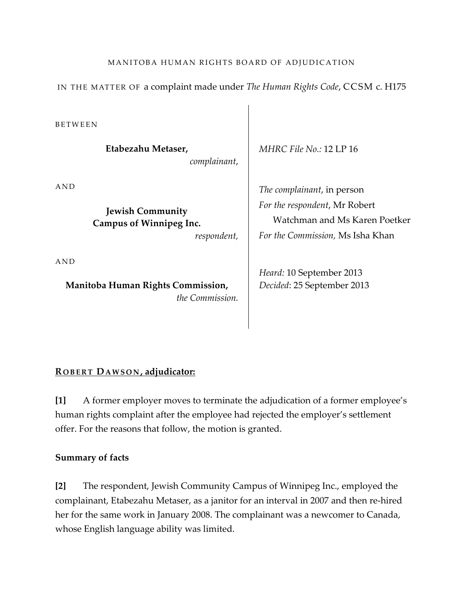# MANITOBA HUMAN RIGHTS BOARD OF ADJUDICATION

IN THE MATTER OF a complaint made under *The Human Rights Code*, CCSM c. H175

**BETWEEN** 

**Etabezahu Metaser,** *complainant*,

A N D

**Jewish Community Campus of Winnipeg Inc.**

*respondent,*

A N D

**Manitoba Human Rights Commission,** *the Commission.* *MHRC File No.:* 12 LP 16

*The complainant*, in person *For the respondent*, Mr Robert Watchman and Ms Karen Poetker *For the Commission,* Ms Isha Khan

*Heard:* 10 September 2013 *Decided*: 25 September 2013

## **R O B E R T DA W S O N , adjudicator:**

**[1]** A former employer moves to terminate the adjudication of a former employee's human rights complaint after the employee had rejected the employer's settlement offer. For the reasons that follow, the motion is granted.

### **Summary of facts**

**[2]** The respondent, Jewish Community Campus of Winnipeg Inc., employed the complainant, Etabezahu Metaser, as a janitor for an interval in 2007 and then re-hired her for the same work in January 2008. The complainant was a newcomer to Canada, whose English language ability was limited.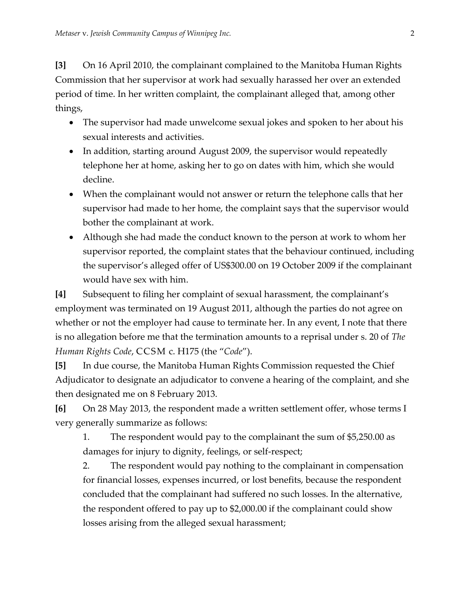**[3]** On 16 April 2010, the complainant complained to the Manitoba Human Rights Commission that her supervisor at work had sexually harassed her over an extended period of time. In her written complaint, the complainant alleged that, among other things,

- The supervisor had made unwelcome sexual jokes and spoken to her about his sexual interests and activities.
- In addition, starting around August 2009, the supervisor would repeatedly telephone her at home, asking her to go on dates with him, which she would decline.
- When the complainant would not answer or return the telephone calls that her supervisor had made to her home, the complaint says that the supervisor would bother the complainant at work.
- Although she had made the conduct known to the person at work to whom her supervisor reported, the complaint states that the behaviour continued, including the supervisor's alleged offer of US\$300.00 on 19 October 2009 if the complainant would have sex with him.

**[4]** Subsequent to filing her complaint of sexual harassment, the complainant's employment was terminated on 19 August 2011, although the parties do not agree on whether or not the employer had cause to terminate her. In any event, I note that there is no allegation before me that the termination amounts to a reprisal under s. 20 of *The Human Rights Code*, CCSM c. H175 (the "*Code*").

**[5]** In due course, the Manitoba Human Rights Commission requested the Chief Adjudicator to designate an adjudicator to convene a hearing of the complaint, and she then designated me on 8 February 2013.

**[6]** On 28 May 2013, the respondent made a written settlement offer, whose terms I very generally summarize as follows:

1. The respondent would pay to the complainant the sum of \$5,250.00 as damages for injury to dignity, feelings, or self-respect;

2. The respondent would pay nothing to the complainant in compensation for financial losses, expenses incurred, or lost benefits, because the respondent concluded that the complainant had suffered no such losses. In the alternative, the respondent offered to pay up to \$2,000.00 if the complainant could show losses arising from the alleged sexual harassment;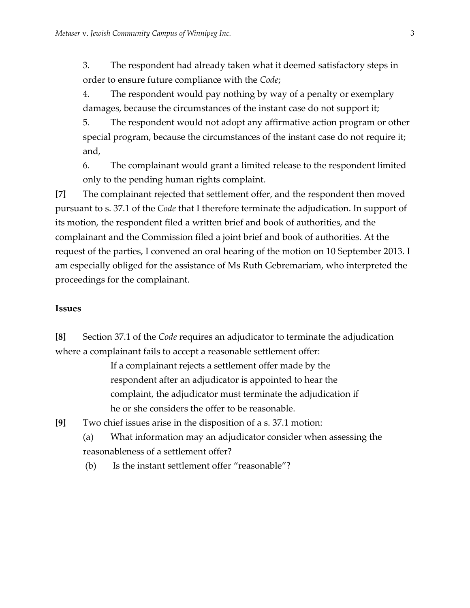3. The respondent had already taken what it deemed satisfactory steps in order to ensure future compliance with the *Code*;

4. The respondent would pay nothing by way of a penalty or exemplary damages, because the circumstances of the instant case do not support it;

5. The respondent would not adopt any affirmative action program or other special program, because the circumstances of the instant case do not require it; and,

6. The complainant would grant a limited release to the respondent limited only to the pending human rights complaint.

**[7]** The complainant rejected that settlement offer, and the respondent then moved pursuant to s. 37.1 of the *Code* that I therefore terminate the adjudication. In support of its motion, the respondent filed a written brief and book of authorities, and the complainant and the Commission filed a joint brief and book of authorities. At the request of the parties, I convened an oral hearing of the motion on 10 September 2013. I am especially obliged for the assistance of Ms Ruth Gebremariam, who interpreted the proceedings for the complainant.

## **Issues**

**[8]** Section 37.1 of the *Code* requires an adjudicator to terminate the adjudication where a complainant fails to accept a reasonable settlement offer:

> If a complainant rejects a settlement offer made by the respondent after an adjudicator is appointed to hear the complaint, the adjudicator must terminate the adjudication if he or she considers the offer to be reasonable.

**[9]** Two chief issues arise in the disposition of a s. 37.1 motion:

(a) What information may an adjudicator consider when assessing the reasonableness of a settlement offer?

(b) Is the instant settlement offer "reasonable"?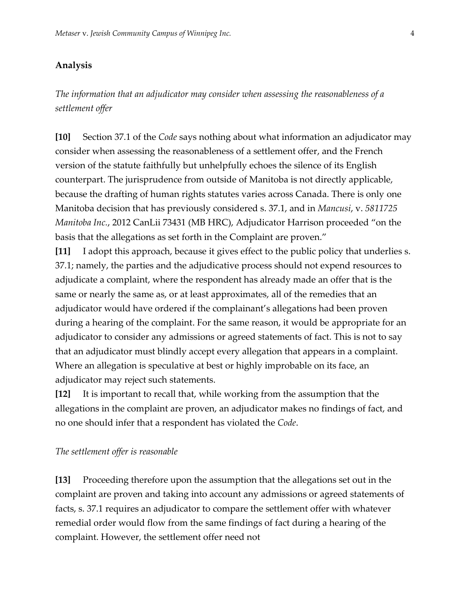## **Analysis**

*The information that an adjudicator may consider when assessing the reasonableness of a settlement offer*

**[10]** Section 37.1 of the *Code* says nothing about what information an adjudicator may consider when assessing the reasonableness of a settlement offer, and the French version of the statute faithfully but unhelpfully echoes the silence of its English counterpart. The jurisprudence from outside of Manitoba is not directly applicable, because the drafting of human rights statutes varies across Canada. There is only one Manitoba decision that has previously considered s. 37.1, and in *Mancusi*, v. *5811725 Manitoba Inc.*, 2012 CanLii 73431 (MB HRC), Adjudicator Harrison proceeded "on the basis that the allegations as set forth in the Complaint are proven."

**[11]** I adopt this approach, because it gives effect to the public policy that underlies s. 37.1; namely, the parties and the adjudicative process should not expend resources to adjudicate a complaint, where the respondent has already made an offer that is the same or nearly the same as, or at least approximates, all of the remedies that an adjudicator would have ordered if the complainant's allegations had been proven during a hearing of the complaint. For the same reason, it would be appropriate for an adjudicator to consider any admissions or agreed statements of fact. This is not to say that an adjudicator must blindly accept every allegation that appears in a complaint. Where an allegation is speculative at best or highly improbable on its face, an adjudicator may reject such statements.

**[12]** It is important to recall that, while working from the assumption that the allegations in the complaint are proven, an adjudicator makes no findings of fact, and no one should infer that a respondent has violated the *Code*.

#### *The settlement offer is reasonable*

**[13]** Proceeding therefore upon the assumption that the allegations set out in the complaint are proven and taking into account any admissions or agreed statements of facts, s. 37.1 requires an adjudicator to compare the settlement offer with whatever remedial order would flow from the same findings of fact during a hearing of the complaint. However, the settlement offer need not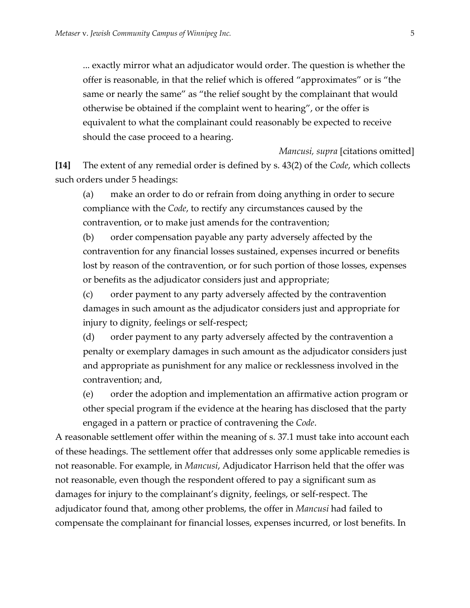... exactly mirror what an adjudicator would order. The question is whether the offer is reasonable, in that the relief which is offered "approximates" or is "the same or nearly the same" as "the relief sought by the complainant that would otherwise be obtained if the complaint went to hearing", or the offer is equivalent to what the complainant could reasonably be expected to receive should the case proceed to a hearing.

**[14]** The extent of any remedial order is defined by s. 43(2) of the *Code*, which collects such orders under 5 headings:

(a) make an order to do or refrain from doing anything in order to secure compliance with the *Code*, to rectify any circumstances caused by the contravention, or to make just amends for the contravention;

(b) order compensation payable any party adversely affected by the contravention for any financial losses sustained, expenses incurred or benefits lost by reason of the contravention, or for such portion of those losses, expenses or benefits as the adjudicator considers just and appropriate;

(c) order payment to any party adversely affected by the contravention damages in such amount as the adjudicator considers just and appropriate for injury to dignity, feelings or self-respect;

(d) order payment to any party adversely affected by the contravention a penalty or exemplary damages in such amount as the adjudicator considers just and appropriate as punishment for any malice or recklessness involved in the contravention; and,

(e) order the adoption and implementation an affirmative action program or other special program if the evidence at the hearing has disclosed that the party engaged in a pattern or practice of contravening the *Code*.

A reasonable settlement offer within the meaning of s. 37.1 must take into account each of these headings. The settlement offer that addresses only some applicable remedies is not reasonable. For example, in *Mancusi*, Adjudicator Harrison held that the offer was not reasonable, even though the respondent offered to pay a significant sum as damages for injury to the complainant's dignity, feelings, or self-respect. The adjudicator found that, among other problems, the offer in *Mancusi* had failed to compensate the complainant for financial losses, expenses incurred, or lost benefits. In

*Mancusi, supra* [citations omitted]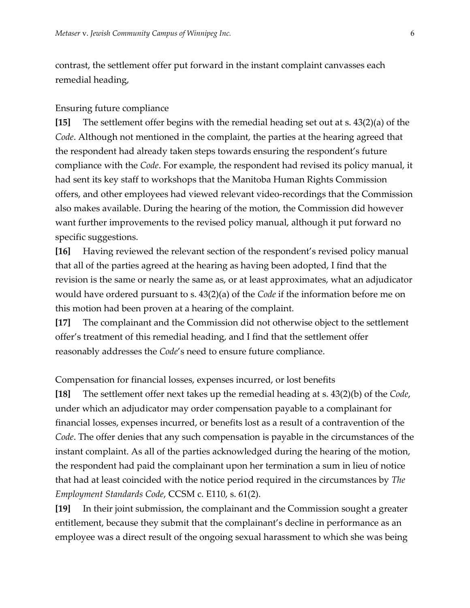contrast, the settlement offer put forward in the instant complaint canvasses each remedial heading,

#### Ensuring future compliance

**[15]** The settlement offer begins with the remedial heading set out at s. 43(2)(a) of the *Code*. Although not mentioned in the complaint, the parties at the hearing agreed that the respondent had already taken steps towards ensuring the respondent's future compliance with the *Code*. For example, the respondent had revised its policy manual, it had sent its key staff to workshops that the Manitoba Human Rights Commission offers, and other employees had viewed relevant video-recordings that the Commission also makes available. During the hearing of the motion, the Commission did however want further improvements to the revised policy manual, although it put forward no specific suggestions.

**[16]** Having reviewed the relevant section of the respondent's revised policy manual that all of the parties agreed at the hearing as having been adopted, I find that the revision is the same or nearly the same as, or at least approximates, what an adjudicator would have ordered pursuant to s. 43(2)(a) of the *Code* if the information before me on this motion had been proven at a hearing of the complaint.

**[17]** The complainant and the Commission did not otherwise object to the settlement offer's treatment of this remedial heading, and I find that the settlement offer reasonably addresses the *Code*'s need to ensure future compliance.

Compensation for financial losses, expenses incurred, or lost benefits

**[18]** The settlement offer next takes up the remedial heading at s. 43(2)(b) of the *Code*, under which an adjudicator may order compensation payable to a complainant for financial losses, expenses incurred, or benefits lost as a result of a contravention of the *Code*. The offer denies that any such compensation is payable in the circumstances of the instant complaint. As all of the parties acknowledged during the hearing of the motion, the respondent had paid the complainant upon her termination a sum in lieu of notice that had at least coincided with the notice period required in the circumstances by *The Employment Standards Code*, CCSM c. E110, s. 61(2).

**[19]** In their joint submission, the complainant and the Commission sought a greater entitlement, because they submit that the complainant's decline in performance as an employee was a direct result of the ongoing sexual harassment to which she was being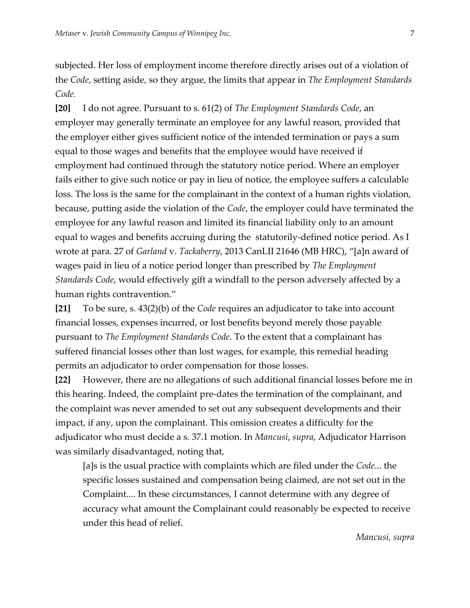subjected. Her loss of employment income therefore directly arises out of a violation of the *Code*, setting aside, so they argue, the limits that appear in *The Employment Standards Code.*

**[20]** I do not agree. Pursuant to s. 61(2) of *The Employment Standards Code*, an employer may generally terminate an employee for any lawful reason, provided that the employer either gives sufficient notice of the intended termination or pays a sum equal to those wages and benefits that the employee would have received if employment had continued through the statutory notice period. Where an employer fails either to give such notice or pay in lieu of notice, the employee suffers a calculable loss. The loss is the same for the complainant in the context of a human rights violation, because, putting aside the violation of the *Code*, the employer could have terminated the employee for any lawful reason and limited its financial liability only to an amount equal to wages and benefits accruing during the statutorily-defined notice period. As I wrote at para. 27 of *Garland* v. *Tackaberry*, 2013 CanLII 21646 (MB HRC), "[a]n award of wages paid in lieu of a notice period longer than prescribed by *The Employment Standards Code*, would effectively gift a windfall to the person adversely affected by a human rights contravention."

**[21]** To be sure, s. 43(2)(b) of the *Code* requires an adjudicator to take into account financial losses, expenses incurred, or lost benefits beyond merely those payable pursuant to *The Employment Standards Code*. To the extent that a complainant has suffered financial losses other than lost wages, for example, this remedial heading permits an adjudicator to order compensation for those losses.

**[22]** However, there are no allegations of such additional financial losses before me in this hearing. Indeed, the complaint pre-dates the termination of the complainant, and the complaint was never amended to set out any subsequent developments and their impact, if any, upon the complainant. This omission creates a difficulty for the adjudicator who must decide a s. 37.1 motion. In *Mancusi*, *supra*, Adjudicator Harrison was similarly disadvantaged, noting that,

[a]s is the usual practice with complaints which are filed under the *Code*... the specific losses sustained and compensation being claimed, are not set out in the Complaint.... In these circumstances, I cannot determine with any degree of accuracy what amount the Complainant could reasonably be expected to receive under this head of relief.

*Mancusi, supra*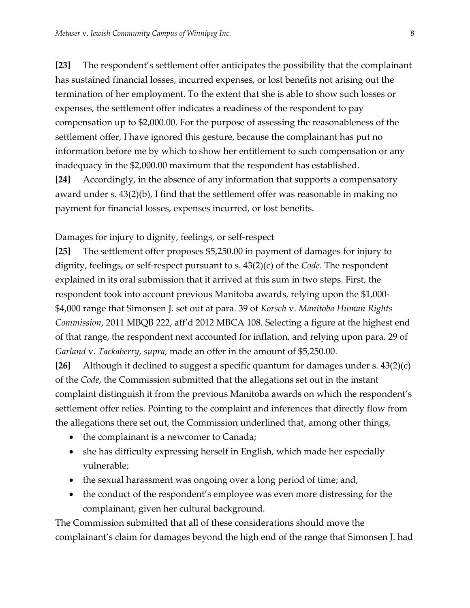**[23]** The respondent's settlement offer anticipates the possibility that the complainant has sustained financial losses, incurred expenses, or lost benefits not arising out the termination of her employment. To the extent that she is able to show such losses or expenses, the settlement offer indicates a readiness of the respondent to pay compensation up to \$2,000.00. For the purpose of assessing the reasonableness of the settlement offer, I have ignored this gesture, because the complainant has put no information before me by which to show her entitlement to such compensation or any inadequacy in the \$2,000.00 maximum that the respondent has established.

**[24]** Accordingly, in the absence of any information that supports a compensatory award under s. 43(2)(b), I find that the settlement offer was reasonable in making no payment for financial losses, expenses incurred, or lost benefits.

#### Damages for injury to dignity, feelings, or self-respect

**[25]** The settlement offer proposes \$5,250.00 in payment of damages for injury to dignity, feelings, or self-respect pursuant to s. 43(2)(c) of the *Code*. The respondent explained in its oral submission that it arrived at this sum in two steps. First, the respondent took into account previous Manitoba awards, relying upon the \$1,000- \$4,000 range that Simonsen J. set out at para. 39 of *Korsch* v. *Manitoba Human Rights Commission*, 2011 MBQB 222, aff'd 2012 MBCA 108. Selecting a figure at the highest end of that range, the respondent next accounted for inflation, and relying upon para. 29 of *Garland* v. *Tackaberry*, *supra*, made an offer in the amount of \$5,250.00.

**[26]** Although it declined to suggest a specific quantum for damages under s. 43(2)(c) of the *Code*, the Commission submitted that the allegations set out in the instant complaint distinguish it from the previous Manitoba awards on which the respondent's settlement offer relies. Pointing to the complaint and inferences that directly flow from the allegations there set out, the Commission underlined that, among other things,

- the complainant is a newcomer to Canada;
- she has difficulty expressing herself in English, which made her especially vulnerable;
- the sexual harassment was ongoing over a long period of time; and,
- the conduct of the respondent's employee was even more distressing for the complainant, given her cultural background.

The Commission submitted that all of these considerations should move the complainant's claim for damages beyond the high end of the range that Simonsen J. had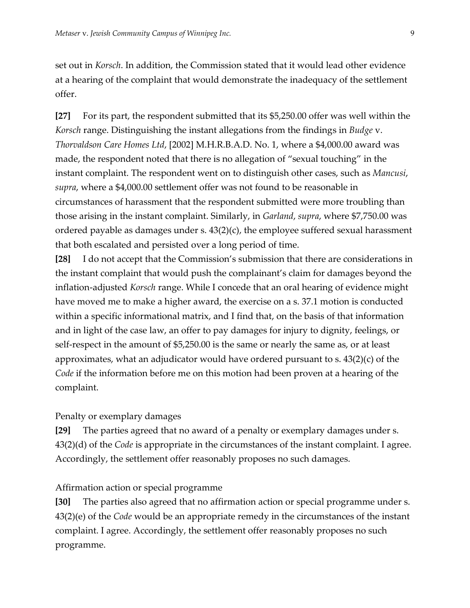set out in *Korsch*. In addition, the Commission stated that it would lead other evidence at a hearing of the complaint that would demonstrate the inadequacy of the settlement offer.

**[27]** For its part, the respondent submitted that its \$5,250.00 offer was well within the *Korsch* range. Distinguishing the instant allegations from the findings in *Budge* v. *Thorvaldson Care Homes Ltd*, [2002] M.H.R.B.A.D. No. 1, where a \$4,000.00 award was made, the respondent noted that there is no allegation of "sexual touching" in the instant complaint. The respondent went on to distinguish other cases, such as *Mancusi*, *supra*, where a \$4,000.00 settlement offer was not found to be reasonable in circumstances of harassment that the respondent submitted were more troubling than those arising in the instant complaint. Similarly, in *Garland*, *supra*, where \$7,750.00 was ordered payable as damages under s. 43(2)(c), the employee suffered sexual harassment that both escalated and persisted over a long period of time.

**[28]** I do not accept that the Commission's submission that there are considerations in the instant complaint that would push the complainant's claim for damages beyond the inflation-adjusted *Korsch* range. While I concede that an oral hearing of evidence might have moved me to make a higher award, the exercise on a s. 37.1 motion is conducted within a specific informational matrix, and I find that, on the basis of that information and in light of the case law, an offer to pay damages for injury to dignity, feelings, or self-respect in the amount of \$5,250.00 is the same or nearly the same as, or at least approximates, what an adjudicator would have ordered pursuant to s.  $43(2)(c)$  of the *Code* if the information before me on this motion had been proven at a hearing of the complaint.

### Penalty or exemplary damages

**[29]** The parties agreed that no award of a penalty or exemplary damages under s. 43(2)(d) of the *Code* is appropriate in the circumstances of the instant complaint. I agree. Accordingly, the settlement offer reasonably proposes no such damages.

### Affirmation action or special programme

**[30]** The parties also agreed that no affirmation action or special programme under s. 43(2)(e) of the *Code* would be an appropriate remedy in the circumstances of the instant complaint. I agree. Accordingly, the settlement offer reasonably proposes no such programme.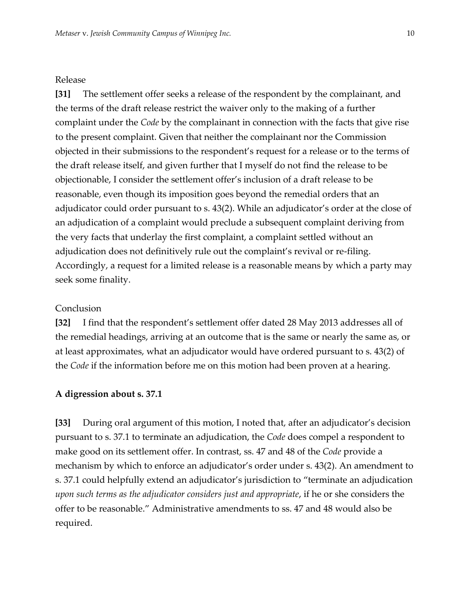### Release

**[31]** The settlement offer seeks a release of the respondent by the complainant, and the terms of the draft release restrict the waiver only to the making of a further complaint under the *Code* by the complainant in connection with the facts that give rise to the present complaint. Given that neither the complainant nor the Commission objected in their submissions to the respondent's request for a release or to the terms of the draft release itself, and given further that I myself do not find the release to be objectionable, I consider the settlement offer's inclusion of a draft release to be reasonable, even though its imposition goes beyond the remedial orders that an adjudicator could order pursuant to s. 43(2). While an adjudicator's order at the close of an adjudication of a complaint would preclude a subsequent complaint deriving from the very facts that underlay the first complaint, a complaint settled without an adjudication does not definitively rule out the complaint's revival or re-filing. Accordingly, a request for a limited release is a reasonable means by which a party may seek some finality.

## Conclusion

**[32]** I find that the respondent's settlement offer dated 28 May 2013 addresses all of the remedial headings, arriving at an outcome that is the same or nearly the same as, or at least approximates, what an adjudicator would have ordered pursuant to s. 43(2) of the *Code* if the information before me on this motion had been proven at a hearing.

#### **A digression about s. 37.1**

**[33]** During oral argument of this motion, I noted that, after an adjudicator's decision pursuant to s. 37.1 to terminate an adjudication, the *Code* does compel a respondent to make good on its settlement offer. In contrast, ss. 47 and 48 of the *Code* provide a mechanism by which to enforce an adjudicator's order under s. 43(2). An amendment to s. 37.1 could helpfully extend an adjudicator's jurisdiction to "terminate an adjudication *upon such terms as the adjudicator considers just and appropriate*, if he or she considers the offer to be reasonable." Administrative amendments to ss. 47 and 48 would also be required.